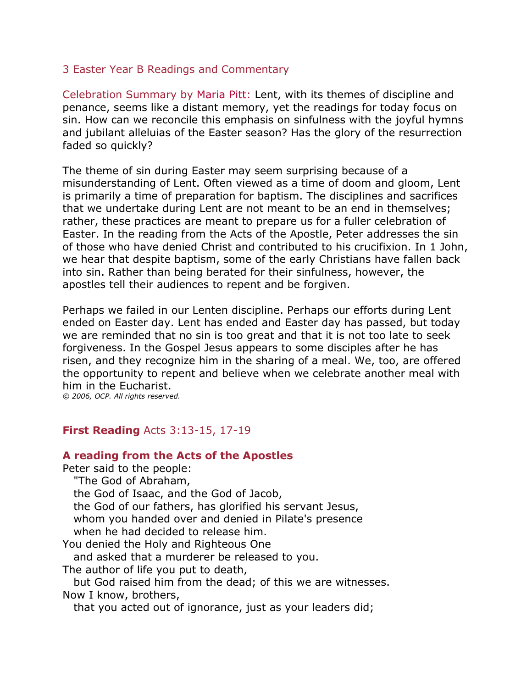## 3 Easter Year B Readings and Commentary

Celebration Summary by [Maria Pitt:](http://www.liturgy.com/home/authors.php?authorID=24) Lent, with its themes of discipline and penance, seems like a distant memory, yet the readings for today focus on sin. How can we reconcile this emphasis on sinfulness with the joyful hymns and jubilant alleluias of the Easter season? Has the glory of the resurrection faded so quickly?

The theme of sin during Easter may seem surprising because of a misunderstanding of Lent. Often viewed as a time of doom and gloom, Lent is primarily a time of preparation for baptism. The disciplines and sacrifices that we undertake during Lent are not meant to be an end in themselves; rather, these practices are meant to prepare us for a fuller celebration of Easter. In the reading from the Acts of the Apostle, Peter addresses the sin of those who have denied Christ and contributed to his crucifixion. In 1 John, we hear that despite baptism, some of the early Christians have fallen back into sin. Rather than being berated for their sinfulness, however, the apostles tell their audiences to repent and be forgiven.

Perhaps we failed in our Lenten discipline. Perhaps our efforts during Lent ended on Easter day. Lent has ended and Easter day has passed, but today we are reminded that no sin is too great and that it is not too late to seek forgiveness. In the Gospel Jesus appears to some disciples after he has risen, and they recognize him in the sharing of a meal. We, too, are offered the opportunity to repent and believe when we celebrate another meal with him in the Eucharist.

*© 2006, OCP. All rights reserved.*

## **First Reading** Acts 3:13-15, 17-19

## **A reading from the Acts of the Apostles**

Peter said to the people: "The God of Abraham, the God of Isaac, and the God of Jacob, the God of our fathers, has glorified his servant Jesus, whom you handed over and denied in Pilate's presence when he had decided to release him. You denied the Holy and Righteous One and asked that a murderer be released to you.

The author of life you put to death,

 but God raised him from the dead; of this we are witnesses. Now I know, brothers,

that you acted out of ignorance, just as your leaders did;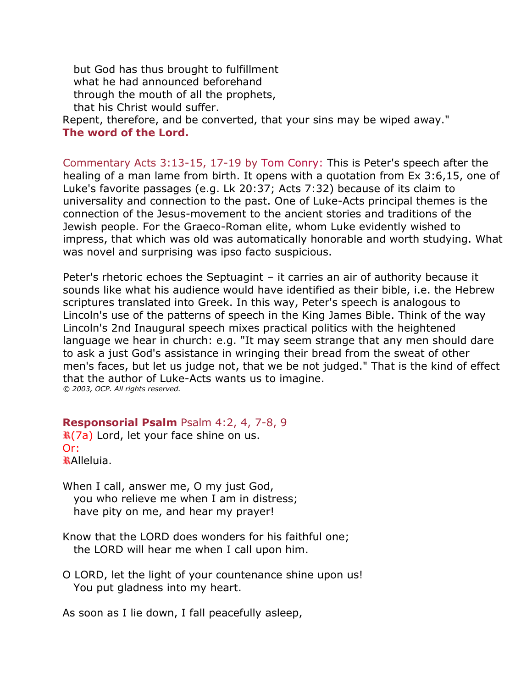but God has thus brought to fulfillment what he had announced beforehand through the mouth of all the prophets, that his Christ would suffer.

Repent, therefore, and be converted, that your sins may be wiped away." **The word of the Lord.** 

Commentary Acts 3:13-15, 17-19 by [Tom Conry:](http://www.liturgy.com/home/authors.php?authorID=185) This is Peter's speech after the healing of a man lame from birth. It opens with a quotation from Ex 3:6,15, one of Luke's favorite passages (e.g. Lk 20:37; Acts 7:32) because of its claim to universality and connection to the past. One of Luke-Acts principal themes is the connection of the Jesus-movement to the ancient stories and traditions of the Jewish people. For the Graeco-Roman elite, whom Luke evidently wished to impress, that which was old was automatically honorable and worth studying. What was novel and surprising was ipso facto suspicious.

Peter's rhetoric echoes the Septuagint – it carries an air of authority because it sounds like what his audience would have identified as their bible, i.e. the Hebrew scriptures translated into Greek. In this way, Peter's speech is analogous to Lincoln's use of the patterns of speech in the King James Bible. Think of the way Lincoln's 2nd Inaugural speech mixes practical politics with the heightened language we hear in church: e.g. "It may seem strange that any men should dare to ask a just God's assistance in wringing their bread from the sweat of other men's faces, but let us judge not, that we be not judged." That is the kind of effect that the author of Luke-Acts wants us to imagine. *© 2003, OCP. All rights reserved.*

**Responsorial Psalm** Psalm 4:2, 4, 7-8, 9

**R(7a)** Lord, let your face shine on us. Or: Alleluia.

- When I call, answer me, O my just God, you who relieve me when I am in distress; have pity on me, and hear my prayer!
- Know that the LORD does wonders for his faithful one; the LORD will hear me when I call upon him.
- O LORD, let the light of your countenance shine upon us! You put gladness into my heart.

As soon as I lie down, I fall peacefully asleep,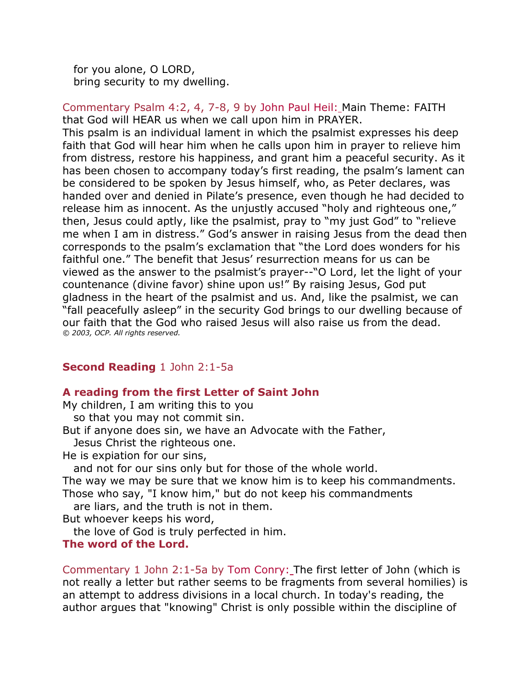for you alone, O LORD, bring security to my dwelling.

Commentary Psalm 4:2, 4, 7-8, 9 by [John Paul Heil:](http://www.liturgy.com/home/authors.php?authorID=6) Main Theme: FAITH that God will HEAR us when we call upon him in PRAYER.

This psalm is an individual lament in which the psalmist expresses his deep faith that God will hear him when he calls upon him in prayer to relieve him from distress, restore his happiness, and grant him a peaceful security. As it has been chosen to accompany today's first reading, the psalm's lament can be considered to be spoken by Jesus himself, who, as Peter declares, was handed over and denied in Pilate's presence, even though he had decided to release him as innocent. As the unjustly accused "holy and righteous one," then, Jesus could aptly, like the psalmist, pray to "my just God" to "relieve me when I am in distress." God's answer in raising Jesus from the dead then corresponds to the psalm's exclamation that "the Lord does wonders for his faithful one." The benefit that Jesus' resurrection means for us can be viewed as the answer to the psalmist's prayer--"O Lord, let the light of your countenance (divine favor) shine upon us!" By raising Jesus, God put gladness in the heart of the psalmist and us. And, like the psalmist, we can "fall peacefully asleep" in the security God brings to our dwelling because of our faith that the God who raised Jesus will also raise us from the dead. *© 2003, OCP. All rights reserved.*

# **Second Reading** 1 John 2:1-5a

# **A reading from the first Letter of Saint John**

My children, I am writing this to you

so that you may not commit sin.

But if anyone does sin, we have an Advocate with the Father,

Jesus Christ the righteous one.

He is expiation for our sins,

and not for our sins only but for those of the whole world.

The way we may be sure that we know him is to keep his commandments.

Those who say, "I know him," but do not keep his commandments

are liars, and the truth is not in them.

But whoever keeps his word,

the love of God is truly perfected in him.

# **The word of the Lord.**

Commentary 1 John 2:1-5a by [Tom Conry:](http://www.liturgy.com/home/authors.php?authorID=185) The first letter of John (which is not really a letter but rather seems to be fragments from several homilies) is an attempt to address divisions in a local church. In today's reading, the author argues that "knowing" Christ is only possible within the discipline of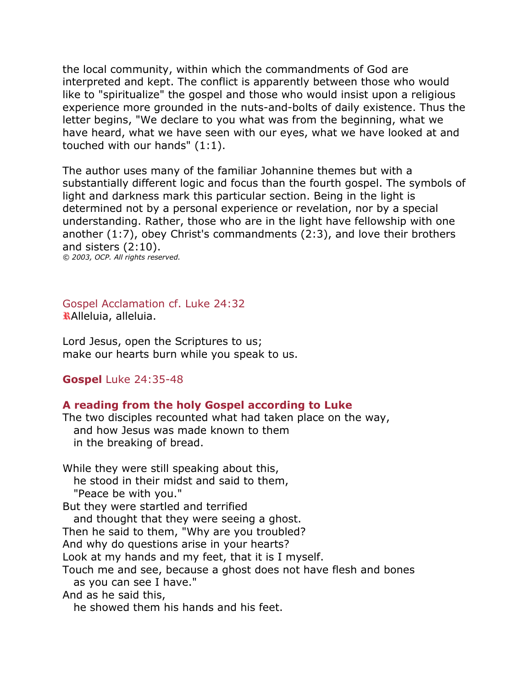the local community, within which the commandments of God are interpreted and kept. The conflict is apparently between those who would like to "spiritualize" the gospel and those who would insist upon a religious experience more grounded in the nuts-and-bolts of daily existence. Thus the letter begins, "We declare to you what was from the beginning, what we have heard, what we have seen with our eyes, what we have looked at and touched with our hands" (1:1).

The author uses many of the familiar Johannine themes but with a substantially different logic and focus than the fourth gospel. The symbols of light and darkness mark this particular section. Being in the light is determined not by a personal experience or revelation, nor by a special understanding. Rather, those who are in the light have fellowship with one another (1:7), obey Christ's commandments (2:3), and love their brothers and sisters (2:10).

*© 2003, OCP. All rights reserved.*

Gospel Acclamation cf. Luke 24:32 Alleluia, alleluia.

Lord Jesus, open the Scriptures to us; make our hearts burn while you speak to us.

## **Gospel** Luke 24:35-48

## **A reading from the holy Gospel according to Luke**

The two disciples recounted what had taken place on the way, and how Jesus was made known to them in the breaking of bread.

While they were still speaking about this, he stood in their midst and said to them, "Peace be with you." But they were startled and terrified and thought that they were seeing a ghost. Then he said to them, "Why are you troubled? And why do questions arise in your hearts? Look at my hands and my feet, that it is I myself. Touch me and see, because a ghost does not have flesh and bones as you can see I have." And as he said this, he showed them his hands and his feet.